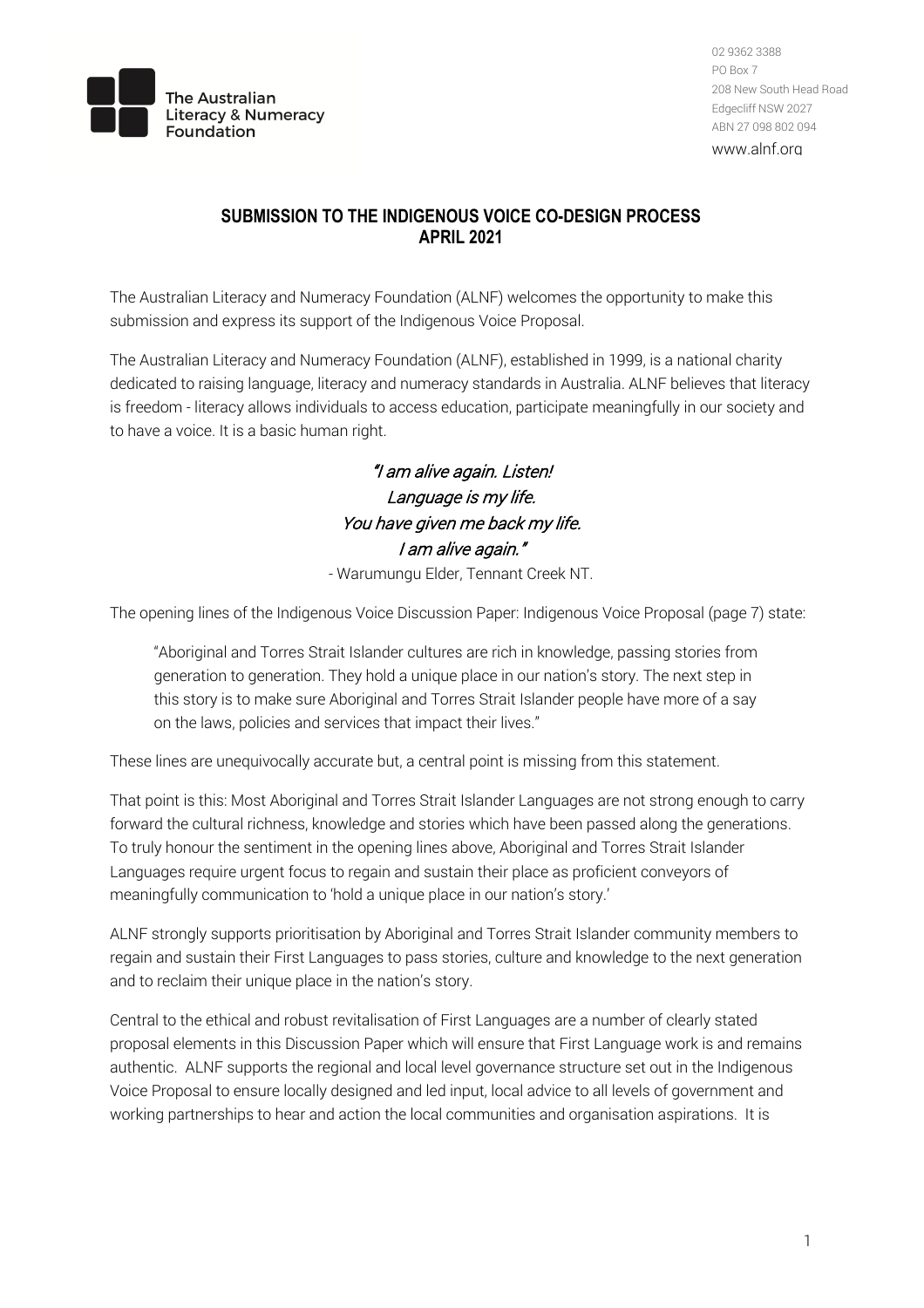

 208 New South Head Road Edgecliff NSW 2027 02 9362 3388 PO Box 7 ABN 27 098 802 094

www.alnf.org

## **SUBMISSION TO THE INDIGENOUS VOICE CO-DESIGN PROCESS APRIL 2021**

 The Australian Literacy and Numeracy Foundation (ALNF) welcomes the opportunity to make this submission and express its support of the Indigenous Voice Proposal.

 The Australian Literacy and Numeracy Foundation (ALNF), established in 1999, is a national charity dedicated to raising language, literacy and numeracy standards in Australia. ALNF believes that literacy is freedom - literacy allows individuals to access education, participate meaningfully in our society and to have a voice. It is a basic human right.

> Language is my life. You have given me back my life. - Warumungu Elder, Tennant Creek NT. "I am alive again. Listen! I am alive again."

The opening lines of the Indigenous Voice Discussion Paper: Indigenous Voice Proposal (page 7) state:

 "Aboriginal and Torres Strait Islander cultures are rich in knowledge, passing stories from generation to generation. They hold a unique place in our nation's story. The next step in this story is to make sure Aboriginal and Torres Strait Islander people have more of a say on the laws, policies and services that impact their lives."

These lines are unequivocally accurate but, a central point is missing from this statement.

 That point is this: Most Aboriginal and Torres Strait Islander Languages are not strong enough to carry forward the cultural richness, knowledge and stories which have been passed along the generations. To truly honour the sentiment in the opening lines above, Aboriginal and Torres Strait Islander Languages require urgent focus to regain and sustain their place as proficient conveyors of meaningfully communication to 'hold a unique place in our nation's story.'

 ALNF strongly supports prioritisation by Aboriginal and Torres Strait Islander community members to regain and sustain their First Languages to pass stories, culture and knowledge to the next generation and to reclaim their unique place in the nation's story.

 Central to the ethical and robust revitalisation of First Languages are a number of clearly stated proposal elements in this Discussion Paper which will ensure that First Language work is and remains authentic. ALNF supports the regional and local level governance structure set out in the Indigenous Voice Proposal to ensure locally designed and led input, local advice to all levels of government and working partnerships to hear and action the local communities and organisation aspirations. It is